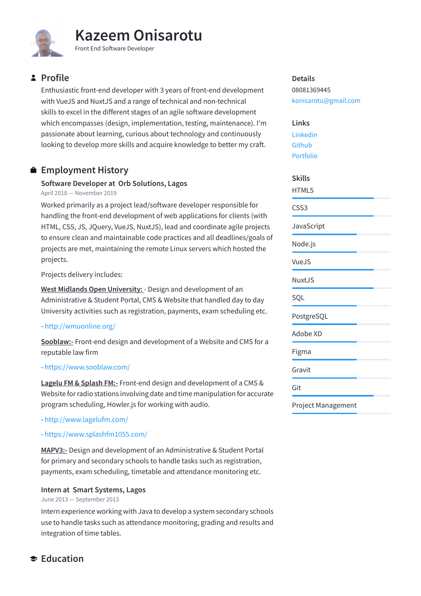

# **Profile**

Enthusiastic front-end developer with 3 years of front-end development with VueJS and NuxtJS and a range of technical and non-technical skills to excel in the different stages of an agile software development which encompasses (design, implementation, testing, maintenance). I'm passionate about learning, curious about technology and continuously looking to develop more skills and acquire knowledge to better my craft.

# **Employment History**

## **Software Developer at Orb Solutions, Lagos**

April 2018 — November 2019

Worked primarily as a project lead/software developer responsible for handling the front-end development of web applications for clients (with HTML, CSS, JS, JQuery, VueJS, NuxtJS), lead and coordinate agile projects to ensure clean and maintainable code practices and all deadlines/goals of projects are met, maintaining the remote Linux servers which hosted the projects.

Projects delivery includes:

**West Midlands Open University:** - Design and development of an Administrative & Student Portal, CMS & Website that handled day to day University activities such as registration, payments, exam scheduling etc.

### -<http://wmuonline.org/>

**Sooblaw:-** Front-end design and development of a Website and CMS for a reputable law firm

### -<https://www.sooblaw.com/>

**Lagelu FM & Splash FM:-** Front-end design and development of a CMS & Website for radio stations involving date and time manipulation for accurate program scheduling, Howler.js for working with audio.

-<http://www.lagelufm.com/>

### -<https://www.splashfm1055.com/>

**MAPV3:-** Design and development of an Administrative & Student Portal for primary and secondary schools to handle tasks such as registration, payments, exam scheduling, timetable and attendance monitoring etc.

### **Intern at Smart Systems, Lagos**

#### June 2013 — September 2013

Intern experience working with Java to develop a system secondary schools use to handle tasks such as attendance monitoring, grading and results and integration of time tables.

08081369445 [konisarotu@gmail.com](mailto:konisarotu@gmail.com)

## **Links**

[Linkedin](https://www.linkedin.com/in/kazeem-onisarotu-189573b7/) [Github](https://github.com/kazeemOnis) [Portfolio](https://iam-kaz.com/)

## **Skills**

HTML5 CSS3 **JavaScript** Node.js VueJS NuxtJS SQL PostgreSQL Adobe XD Figma Gravit Git

### Project Management

# **Education**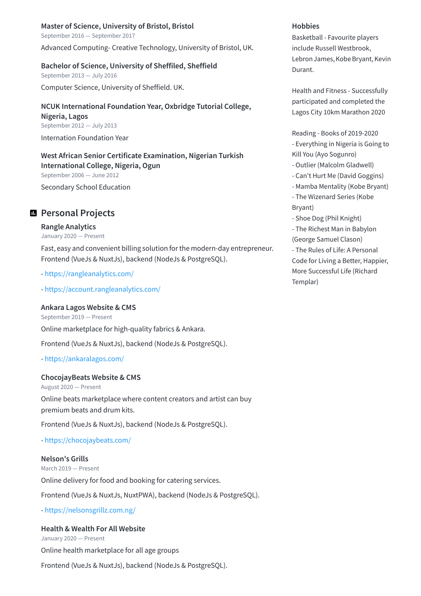**Master of Science, University of Bristol, Bristol** September 2016 — September 2017

Advanced Computing- Creative Technology, University of Bristol, UK.

#### **Bachelor of Science, University of Sheffiled, Sheffield**

September 2013 — July 2016 Computer Science, University of Sheffield. UK.

**NCUK International Foundation Year, Oxbridge Tutorial College, Nigeria, Lagos** September 2012 — July 2013 Internation Foundation Year

**West African Senior Certificate Examination, Nigerian Turkish International College, Nigeria, Ogun** September 2006 — June 2012

Secondary School Education

## **Personal Projects**

#### **Rangle Analytics**

January 2020 — Present

Fast, easy and convenient billing solution for the modern-day entrepreneur. Frontend (VueJs & NuxtJs), backend (NodeJs & PostgreSQL).

-<https://rangleanalytics.com/>

- [https://account.rangleanalytics.com/](https://rangleanalytics.com/)

#### **Ankara Lagos Website & CMS**

September 2019 — Present

Online marketplace for high-quality fabrics & Ankara.

Frontend (VueJs & NuxtJs), backend (NodeJs & PostgreSQL).

-<https://ankaralagos.com/>

#### **ChocojayBeats Website & CMS**

August 2020 — Present

Online beats marketplace where content creators and artist can buy premium beats and drum kits.

Frontend (VueJs & NuxtJs), backend (NodeJs & PostgreSQL).

-<https://chocojaybeats.com/>

#### **Nelson's Grills**

March 2019 — Present Online delivery for food and booking for catering services.

Frontend (VueJs & NuxtJs, NuxtPWA), backend (NodeJs & PostgreSQL).

-<https://nelsonsgrillz.com.ng/>

#### **Health & Wealth For All Website**

January 2020 — Present Online health marketplace for all age groups

Frontend (VueJs & NuxtJs), backend (NodeJs & PostgreSQL).

#### **Hobbies**

Basketball - Favourite players include Russell Westbrook, Lebron James, Kobe Bryant, Kevin Durant.

Health and Fitness - Successfully participated and completed the Lagos City 10km Marathon 2020

Reading - Books of 2019-2020 - Everything in Nigeria is Going to Kill You (Ayo Sogunro)

- Outlier (Malcolm Gladwell)
- Can't Hurt Me (David Goggins)
- Mamba Mentality (Kobe Bryant)
- The Wizenard Series (Kobe Bryant)
- Shoe Dog (Phil Knight)
- The Richest Man in Babylon (George Samuel Clason)

- The Rules of Life: A Personal Code for Living a Better, Happier, More Successful Life (Richard Templar)